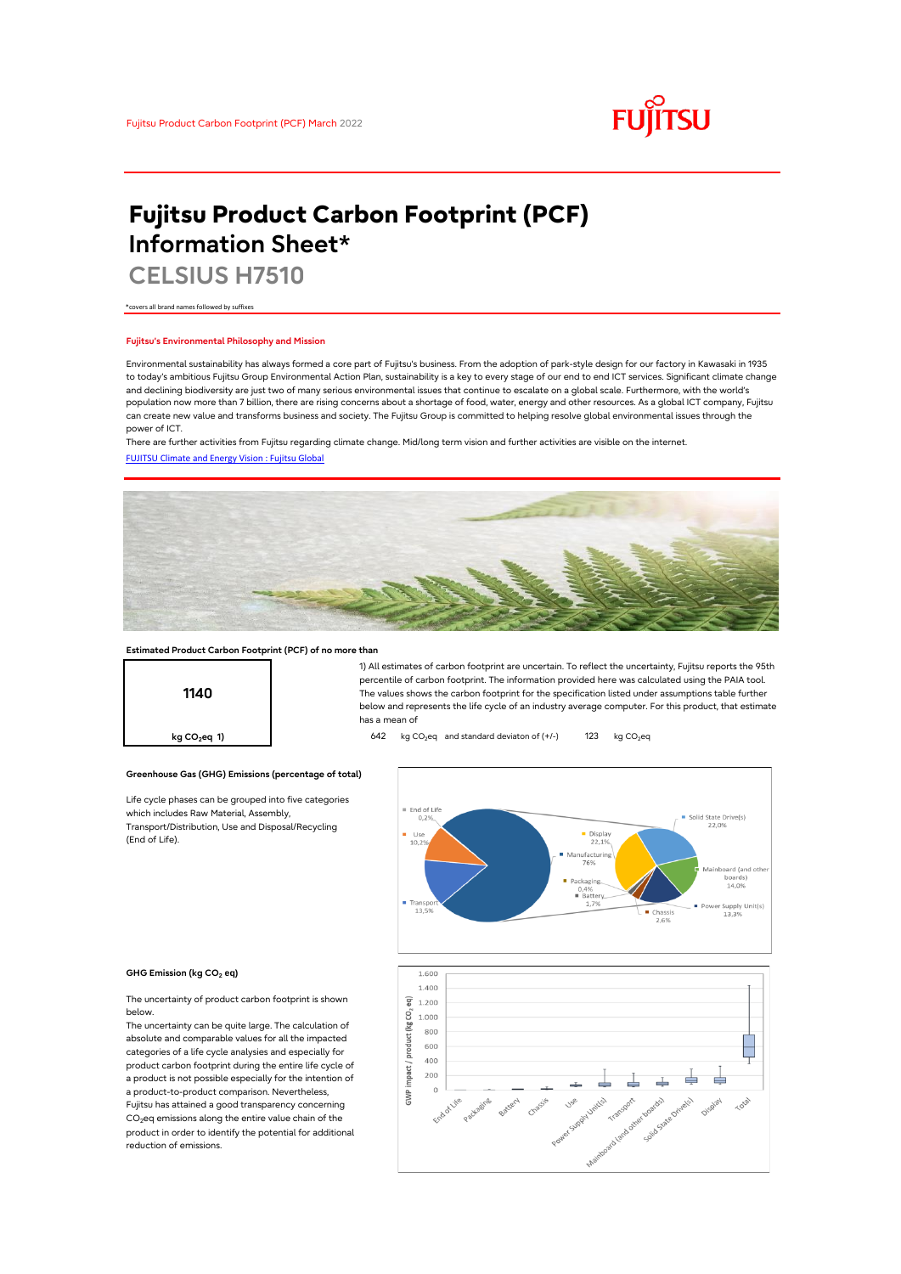

# **Fujitsu Product Carbon Footprint (PCF) Information Sheet\***

**CELSIUS H7510**

\*covers all brand names followed by suffixes

## **Fujitsu's Environmental Philosophy and Mission**

Environmental sustainability has always formed a core part of Fujitsu's business. From the adoption of park-style design for our factory in Kawasaki in 1935 to today's ambitious Fujitsu Group Environmental Action Plan, sustainability is a key to every stage of our end to end ICT services. Significant climate change and declining biodiversity are just two of many serious environmental issues that continue to escalate on a global scale. Furthermore, with the world's population now more than 7 billion, there are rising concerns about a shortage of food, water, energy and other resources. As a global ICT company, Fujitsu can create new value and transforms business and society. The Fujitsu Group is committed to helping resolve global environmental issues through the power of ICT.

[FUJITSU Climate and Energy Vision : Fujitsu Global](https://www.fujitsu.com/global/about/environment/climate-energy-vision/) There are further activities from Fujitsu regarding climate change. Mid/long term vision and further activities are visible on the internet.



## **Estimated Product Carbon Footprint (PCF) of no more than**

**Greenhouse Gas (GHG) Emissions (percentage of total)**

Life cycle phases can be grouped into five categories

which includes Raw Material, Assembly, Transport/Distribution, Use and Disposal/Recycling



1) All estimates of carbon footprint are uncertain. To reflect the uncertainty, Fujitsu reports the 95th percentile of carbon footprint. The information provided here was calculated using the PAIA tool. The values shows the carbon footprint for the specification listed under assumptions table further below and represents the life cycle of an industry average computer. For this product, that estimate has a mean of

**kg CO<sub>2</sub>eq 1) 642** kg CO<sub>2</sub>eq and standard deviaton of (+/-) 123 kg CO<sub>2</sub>eq



#### **GHG Emission (kg CO2 eq)**

(End of Life).

The uncertainty of product carbon footprint is shown below.

The uncertainty can be quite large. The calculation of absolute and comparable values for all the impacted categories of a life cycle analysies and especially for product carbon footprint during the entire life cycle of a product is not possible especially for the intention of a product-to-product comparison. Nevertheless, Fujitsu has attained a good transparency concerning CO<sub>2</sub>eq emissions along the entire value chain of the product in order to identify the potential for additional reduction of emissions.